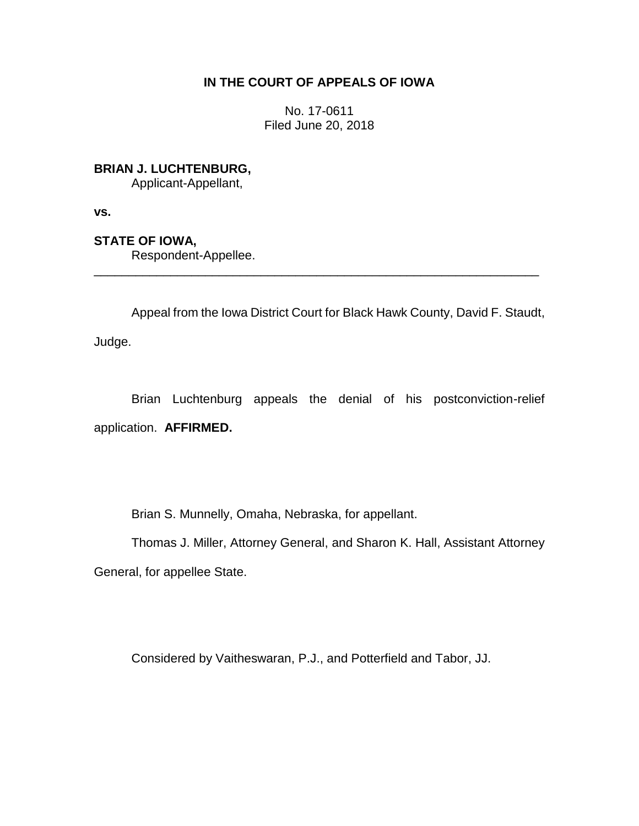# **IN THE COURT OF APPEALS OF IOWA**

No. 17-0611 Filed June 20, 2018

**BRIAN J. LUCHTENBURG,**

Applicant-Appellant,

**vs.**

**STATE OF IOWA,**

Respondent-Appellee.

Appeal from the Iowa District Court for Black Hawk County, David F. Staudt,

\_\_\_\_\_\_\_\_\_\_\_\_\_\_\_\_\_\_\_\_\_\_\_\_\_\_\_\_\_\_\_\_\_\_\_\_\_\_\_\_\_\_\_\_\_\_\_\_\_\_\_\_\_\_\_\_\_\_\_\_\_\_\_\_

Judge.

Brian Luchtenburg appeals the denial of his postconviction-relief application. **AFFIRMED.**

Brian S. Munnelly, Omaha, Nebraska, for appellant.

Thomas J. Miller, Attorney General, and Sharon K. Hall, Assistant Attorney General, for appellee State.

Considered by Vaitheswaran, P.J., and Potterfield and Tabor, JJ.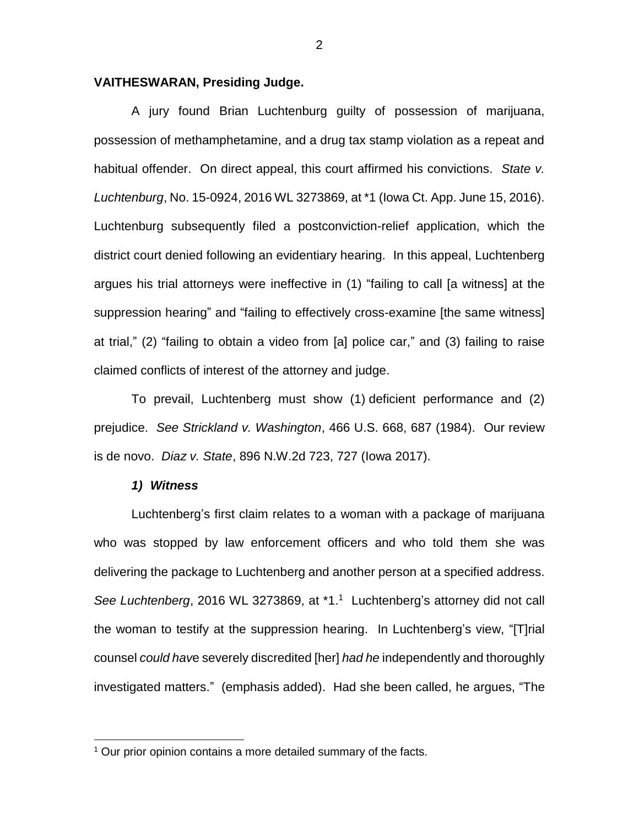# **VAITHESWARAN, Presiding Judge.**

A jury found Brian Luchtenburg guilty of possession of marijuana, possession of methamphetamine, and a drug tax stamp violation as a repeat and habitual offender. On direct appeal, this court affirmed his convictions. *State v. Luchtenburg*, No. 15-0924, 2016 WL 3273869, at \*1 (Iowa Ct. App. June 15, 2016). Luchtenburg subsequently filed a postconviction-relief application, which the district court denied following an evidentiary hearing. In this appeal, Luchtenberg argues his trial attorneys were ineffective in (1) "failing to call [a witness] at the suppression hearing" and "failing to effectively cross-examine [the same witness] at trial," (2) "failing to obtain a video from [a] police car," and (3) failing to raise claimed conflicts of interest of the attorney and judge.

To prevail, Luchtenberg must show (1) deficient performance and (2) prejudice. *See Strickland v. Washington*, 466 U.S. 668, 687 (1984). Our review is de novo. *Diaz v. State*, 896 N.W.2d 723, 727 (Iowa 2017).

# *1) Witness*

 $\overline{a}$ 

Luchtenberg's first claim relates to a woman with a package of marijuana who was stopped by law enforcement officers and who told them she was delivering the package to Luchtenberg and another person at a specified address. See Luchtenberg, 2016 WL 3273869, at \*1.<sup>1</sup> Luchtenberg's attorney did not call the woman to testify at the suppression hearing. In Luchtenberg's view, "[T]rial counsel *could hav*e severely discredited [her] *had he* independently and thoroughly investigated matters." (emphasis added). Had she been called, he argues, "The

 $1$  Our prior opinion contains a more detailed summary of the facts.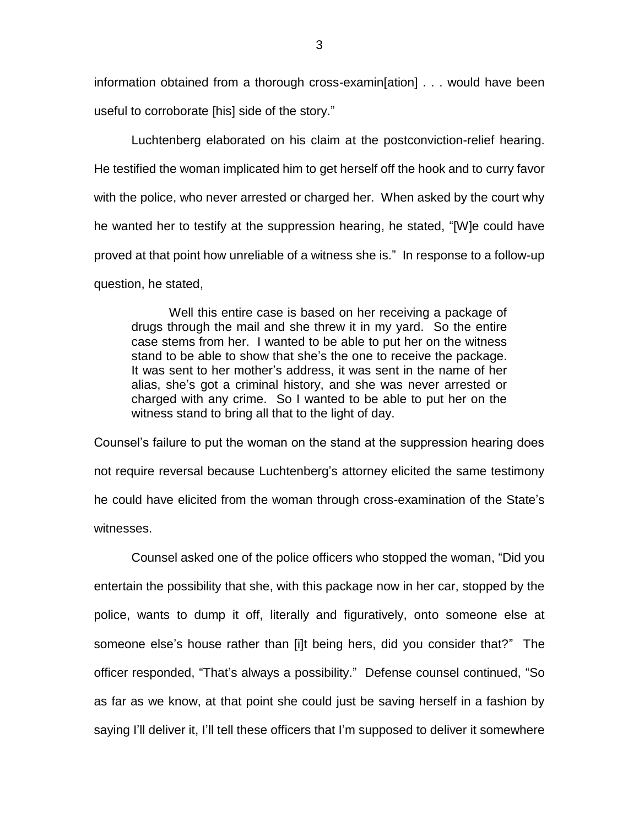information obtained from a thorough cross-examin[ation] . . . would have been useful to corroborate [his] side of the story."

Luchtenberg elaborated on his claim at the postconviction-relief hearing. He testified the woman implicated him to get herself off the hook and to curry favor with the police, who never arrested or charged her. When asked by the court why he wanted her to testify at the suppression hearing, he stated, "[W]e could have proved at that point how unreliable of a witness she is." In response to a follow-up question, he stated,

Well this entire case is based on her receiving a package of drugs through the mail and she threw it in my yard. So the entire case stems from her. I wanted to be able to put her on the witness stand to be able to show that she's the one to receive the package. It was sent to her mother's address, it was sent in the name of her alias, she's got a criminal history, and she was never arrested or charged with any crime. So I wanted to be able to put her on the witness stand to bring all that to the light of day.

Counsel's failure to put the woman on the stand at the suppression hearing does not require reversal because Luchtenberg's attorney elicited the same testimony he could have elicited from the woman through cross-examination of the State's witnesses.

Counsel asked one of the police officers who stopped the woman, "Did you entertain the possibility that she, with this package now in her car, stopped by the police, wants to dump it off, literally and figuratively, onto someone else at someone else's house rather than [i]t being hers, did you consider that?" The officer responded, "That's always a possibility." Defense counsel continued, "So as far as we know, at that point she could just be saving herself in a fashion by saying I'll deliver it, I'll tell these officers that I'm supposed to deliver it somewhere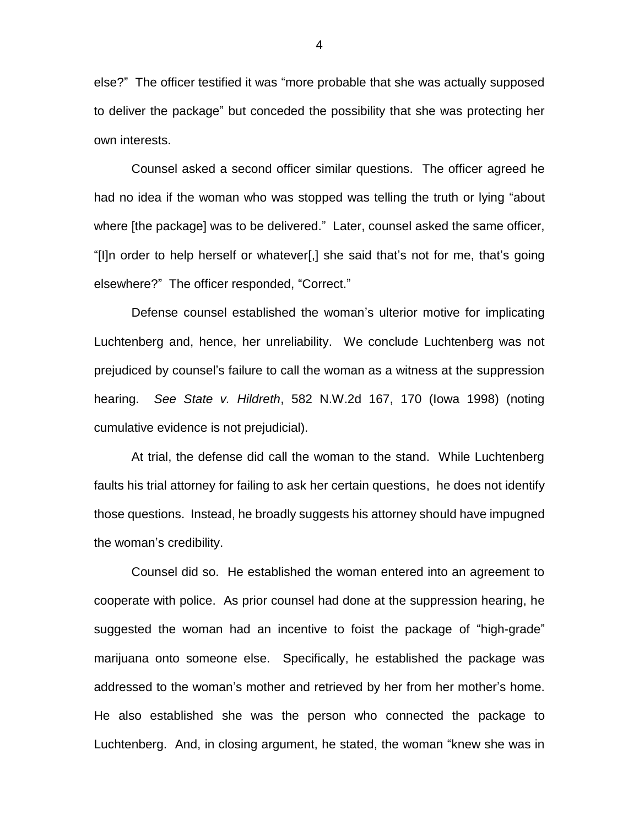else?" The officer testified it was "more probable that she was actually supposed to deliver the package" but conceded the possibility that she was protecting her own interests.

Counsel asked a second officer similar questions. The officer agreed he had no idea if the woman who was stopped was telling the truth or lying "about where [the package] was to be delivered." Later, counsel asked the same officer, "[I]n order to help herself or whatever[,] she said that's not for me, that's going elsewhere?" The officer responded, "Correct."

Defense counsel established the woman's ulterior motive for implicating Luchtenberg and, hence, her unreliability. We conclude Luchtenberg was not prejudiced by counsel's failure to call the woman as a witness at the suppression hearing. *See State v. Hildreth*, 582 N.W.2d 167, 170 (Iowa 1998) (noting cumulative evidence is not prejudicial).

At trial, the defense did call the woman to the stand. While Luchtenberg faults his trial attorney for failing to ask her certain questions, he does not identify those questions. Instead, he broadly suggests his attorney should have impugned the woman's credibility.

Counsel did so. He established the woman entered into an agreement to cooperate with police. As prior counsel had done at the suppression hearing, he suggested the woman had an incentive to foist the package of "high-grade" marijuana onto someone else. Specifically, he established the package was addressed to the woman's mother and retrieved by her from her mother's home. He also established she was the person who connected the package to Luchtenberg. And, in closing argument, he stated, the woman "knew she was in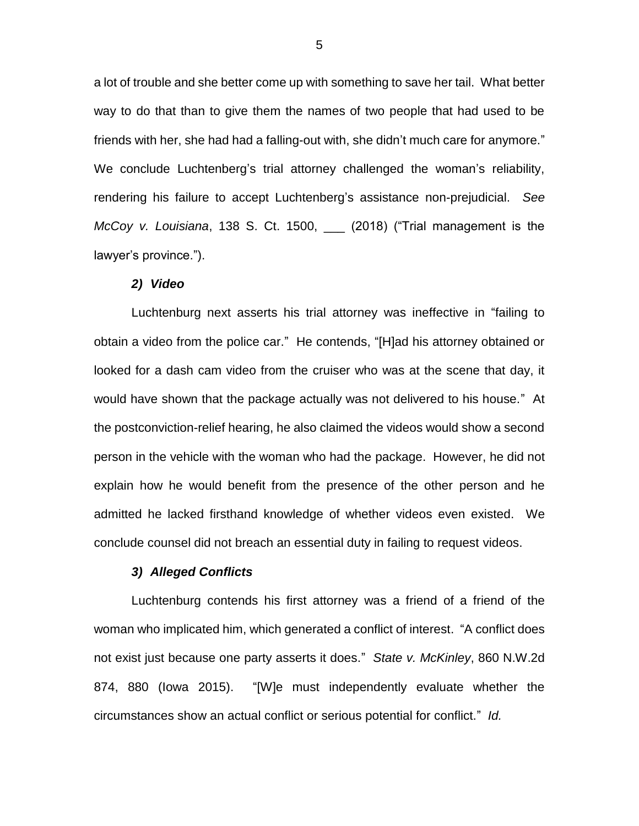a lot of trouble and she better come up with something to save her tail. What better way to do that than to give them the names of two people that had used to be friends with her, she had had a falling-out with, she didn't much care for anymore." We conclude Luchtenberg's trial attorney challenged the woman's reliability, rendering his failure to accept Luchtenberg's assistance non-prejudicial. *See McCoy v. Louisiana*, 138 S. Ct. 1500, \_\_\_ (2018) ("Trial management is the lawyer's province.").

#### *2) Video*

Luchtenburg next asserts his trial attorney was ineffective in "failing to obtain a video from the police car." He contends, "[H]ad his attorney obtained or looked for a dash cam video from the cruiser who was at the scene that day, it would have shown that the package actually was not delivered to his house." At the postconviction-relief hearing, he also claimed the videos would show a second person in the vehicle with the woman who had the package. However, he did not explain how he would benefit from the presence of the other person and he admitted he lacked firsthand knowledge of whether videos even existed. We conclude counsel did not breach an essential duty in failing to request videos.

# *3) Alleged Conflicts*

Luchtenburg contends his first attorney was a friend of a friend of the woman who implicated him, which generated a conflict of interest. "A conflict does not exist just because one party asserts it does." *State v. McKinley*, 860 N.W.2d 874, 880 (Iowa 2015). "[W]e must independently evaluate whether the circumstances show an actual conflict or serious potential for conflict." *Id.*

5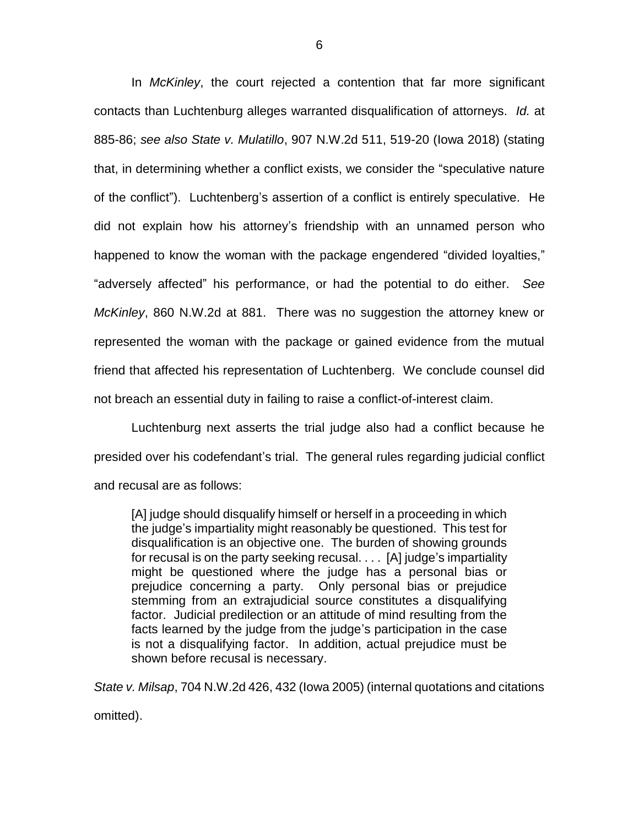In *McKinley*, the court rejected a contention that far more significant contacts than Luchtenburg alleges warranted disqualification of attorneys. *Id.* at 885-86; *see also State v. Mulatillo*, 907 N.W.2d 511, 519-20 (Iowa 2018) (stating that, in determining whether a conflict exists, we consider the "speculative nature of the conflict"). Luchtenberg's assertion of a conflict is entirely speculative. He did not explain how his attorney's friendship with an unnamed person who happened to know the woman with the package engendered "divided loyalties," "adversely affected" his performance, or had the potential to do either. *See McKinley*, 860 N.W.2d at 881. There was no suggestion the attorney knew or represented the woman with the package or gained evidence from the mutual friend that affected his representation of Luchtenberg. We conclude counsel did not breach an essential duty in failing to raise a conflict-of-interest claim.

Luchtenburg next asserts the trial judge also had a conflict because he presided over his codefendant's trial. The general rules regarding judicial conflict and recusal are as follows:

[A] judge should disqualify himself or herself in a proceeding in which the judge's impartiality might reasonably be questioned. This test for disqualification is an objective one. The burden of showing grounds for recusal is on the party seeking recusal. . . . [A] judge's impartiality might be questioned where the judge has a personal bias or prejudice concerning a party. Only personal bias or prejudice stemming from an extrajudicial source constitutes a disqualifying factor. Judicial predilection or an attitude of mind resulting from the facts learned by the judge from the judge's participation in the case is not a disqualifying factor. In addition, actual prejudice must be shown before recusal is necessary.

*State v. Milsap*, 704 N.W.2d 426, 432 (Iowa 2005) (internal quotations and citations omitted).